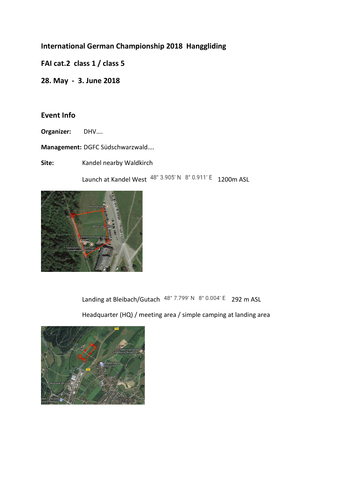# **International German Championship 2018 Hanggliding**

**FAI cat.2 class 1 / class 5** 

**28. May - 3. June 2018** 

## **Event Info**

**Organizer:** DHV….

**Management:** DGFC Südschwarzwald….

Site: **Kandel nearby Waldkirch** 

Launch at Kandel West  $48^{\circ}$  3.905' N  $8^{\circ}$  0.911' E 1200m ASL



Landing at Bleibach/Gutach 48° 7.799' N 8° 0.004' E 292 m ASL

Headquarter (HQ) / meeting area / simple camping at landing area

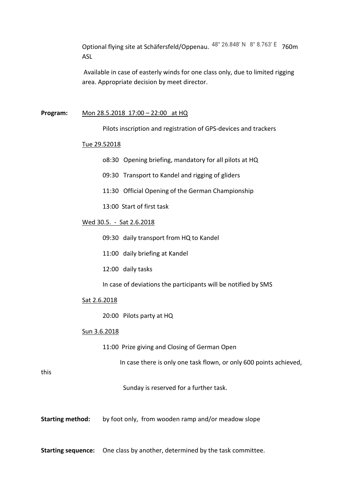Optional flying site at Schäfersfeld/Oppenau.  $48^{\circ}$  26.848' N  $8^{\circ}$  8.763' E 760m ASL

 Available in case of easterly winds for one class only, due to limited rigging area. Appropriate decision by meet director.

#### **Program:** Mon 28.5.2018 17:00 – 22:00 at HQ

Pilots inscription and registration of GPS-devices and trackers

#### Tue 29.52018

- o8:30 Opening briefing, mandatory for all pilots at HQ
- 09:30 Transport to Kandel and rigging of gliders
- 11:30 Official Opening of the German Championship
- 13:00 Start of first task

### Wed 30.5. - Sat 2.6.2018

- 09:30 daily transport from HQ to Kandel
- 11:00 daily briefing at Kandel
- 12:00 daily tasks
- In case of deviations the participants will be notified by SMS

#### Sat 2.6.2018

20:00 Pilots party at HQ

#### Sun 3.6.2018

11:00 Prize giving and Closing of German Open

In case there is only one task flown, or only 600 points achieved,

this

Sunday is reserved for a further task.

**Starting method:** by foot only, from wooden ramp and/or meadow slope

**Starting sequence:** One class by another, determined by the task committee.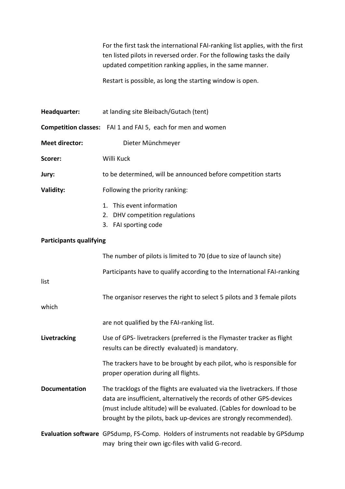For the first task the international FAI-ranking list applies, with the first ten listed pilots in reversed order. For the following tasks the daily updated competition ranking applies, in the same manner.

Restart is possible, as long the starting window is open.

| Headquarter:                   | at landing site Bleibach/Gutach (tent)                                                                                                                                                                                                                                                           |  |
|--------------------------------|--------------------------------------------------------------------------------------------------------------------------------------------------------------------------------------------------------------------------------------------------------------------------------------------------|--|
|                                | <b>Competition classes:</b> FAI 1 and FAI 5, each for men and women                                                                                                                                                                                                                              |  |
| <b>Meet director:</b>          | Dieter Münchmeyer                                                                                                                                                                                                                                                                                |  |
| Scorer:                        | Willi Kuck                                                                                                                                                                                                                                                                                       |  |
| Jury:                          | to be determined, will be announced before competition starts                                                                                                                                                                                                                                    |  |
| Validity:                      | Following the priority ranking:                                                                                                                                                                                                                                                                  |  |
|                                | This event information<br>1.<br>2. DHV competition regulations<br>3. FAI sporting code                                                                                                                                                                                                           |  |
| <b>Participants qualifying</b> |                                                                                                                                                                                                                                                                                                  |  |
|                                | The number of pilots is limited to 70 (due to size of launch site)                                                                                                                                                                                                                               |  |
| list                           | Participants have to qualify according to the International FAI-ranking                                                                                                                                                                                                                          |  |
| which                          | The organisor reserves the right to select 5 pilots and 3 female pilots                                                                                                                                                                                                                          |  |
|                                | are not qualified by the FAI-ranking list.                                                                                                                                                                                                                                                       |  |
| Livetracking                   | Use of GPS- livetrackers (preferred is the Flymaster tracker as flight<br>results can be directly evaluated) is mandatory.                                                                                                                                                                       |  |
|                                | The trackers have to be brought by each pilot, who is responsible for<br>proper operation during all flights.                                                                                                                                                                                    |  |
| <b>Documentation</b>           | The tracklogs of the flights are evaluated via the livetrackers. If those<br>data are insufficient, alternatively the records of other GPS-devices<br>(must include altitude) will be evaluated. (Cables for download to be<br>brought by the pilots, back up-devices are strongly recommended). |  |
|                                | Evaluation software GPSdump, FS-Comp. Holders of instruments not readable by GPSdump<br>may bring their own igc-files with valid G-record.                                                                                                                                                       |  |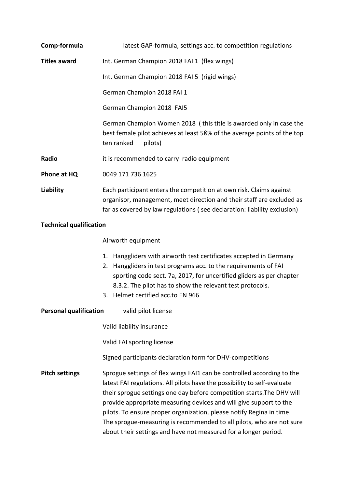| Comp-formula                                         | latest GAP-formula, settings acc. to competition regulations                                                                                                                                                                                                                                                                                                                                                                                                                                                          |  |
|------------------------------------------------------|-----------------------------------------------------------------------------------------------------------------------------------------------------------------------------------------------------------------------------------------------------------------------------------------------------------------------------------------------------------------------------------------------------------------------------------------------------------------------------------------------------------------------|--|
| <b>Titles award</b>                                  | Int. German Champion 2018 FAI 1 (flex wings)                                                                                                                                                                                                                                                                                                                                                                                                                                                                          |  |
|                                                      | Int. German Champion 2018 FAI 5 (rigid wings)                                                                                                                                                                                                                                                                                                                                                                                                                                                                         |  |
|                                                      | German Champion 2018 FAI 1                                                                                                                                                                                                                                                                                                                                                                                                                                                                                            |  |
|                                                      | German Champion 2018 FAI5                                                                                                                                                                                                                                                                                                                                                                                                                                                                                             |  |
|                                                      | German Champion Women 2018 (this title is awarded only in case the<br>best female pilot achieves at least 5ß% of the average points of the top<br>ten ranked<br>pilots)                                                                                                                                                                                                                                                                                                                                               |  |
| Radio                                                | it is recommended to carry radio equipment                                                                                                                                                                                                                                                                                                                                                                                                                                                                            |  |
| Phone at HQ                                          | 0049 171 736 1625                                                                                                                                                                                                                                                                                                                                                                                                                                                                                                     |  |
| <b>Liability</b>                                     | Each participant enters the competition at own risk. Claims against<br>organisor, management, meet direction and their staff are excluded as<br>far as covered by law regulations (see declaration: liability exclusion)                                                                                                                                                                                                                                                                                              |  |
| <b>Technical qualification</b>                       |                                                                                                                                                                                                                                                                                                                                                                                                                                                                                                                       |  |
|                                                      | Airworth equipment                                                                                                                                                                                                                                                                                                                                                                                                                                                                                                    |  |
|                                                      | Hanggliders with airworth test certificates accepted in Germany<br>1.<br>Hanggliders in test programs acc. to the requirements of FAI<br>2.<br>sporting code sect. 7a, 2017, for uncertified gliders as per chapter<br>8.3.2. The pilot has to show the relevant test protocols.<br>3. Helmet certified acc.to EN 966                                                                                                                                                                                                 |  |
| <b>Personal qualification</b><br>valid pilot license |                                                                                                                                                                                                                                                                                                                                                                                                                                                                                                                       |  |
|                                                      | Valid liability insurance                                                                                                                                                                                                                                                                                                                                                                                                                                                                                             |  |
|                                                      | Valid FAI sporting license                                                                                                                                                                                                                                                                                                                                                                                                                                                                                            |  |
|                                                      | Signed participants declaration form for DHV-competitions                                                                                                                                                                                                                                                                                                                                                                                                                                                             |  |
| <b>Pitch settings</b>                                | Sprogue settings of flex wings FAI1 can be controlled according to the<br>latest FAI regulations. All pilots have the possibility to self-evaluate<br>their sprogue settings one day before competition starts. The DHV will<br>provide appropriate measuring devices and will give support to the<br>pilots. To ensure proper organization, please notify Regina in time.<br>The sprogue-measuring is recommended to all pilots, who are not sure<br>about their settings and have not measured for a longer period. |  |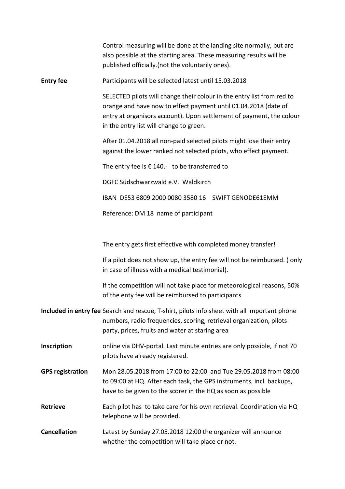|                         | Control measuring will be done at the landing site normally, but are<br>also possible at the starting area. These measuring results will be<br>published officially.(not the voluntarily ones).                                                              |
|-------------------------|--------------------------------------------------------------------------------------------------------------------------------------------------------------------------------------------------------------------------------------------------------------|
| <b>Entry fee</b>        | Participants will be selected latest until 15.03.2018                                                                                                                                                                                                        |
|                         | SELECTED pilots will change their colour in the entry list from red to<br>orange and have now to effect payment until 01.04.2018 (date of<br>entry at organisors account). Upon settlement of payment, the colour<br>in the entry list will change to green. |
|                         | After 01.04.2018 all non-paid selected pilots might lose their entry<br>against the lower ranked not selected pilots, who effect payment.                                                                                                                    |
|                         | The entry fee is $\epsilon$ 140.- to be transferred to                                                                                                                                                                                                       |
|                         | DGFC Südschwarzwald e.V. Waldkirch                                                                                                                                                                                                                           |
|                         | IBAN DE53 6809 2000 0080 3580 16 SWIFT GENODE61EMM                                                                                                                                                                                                           |
|                         | Reference: DM 18 name of participant                                                                                                                                                                                                                         |
|                         |                                                                                                                                                                                                                                                              |
|                         | The entry gets first effective with completed money transfer!                                                                                                                                                                                                |
|                         | If a pilot does not show up, the entry fee will not be reimbursed. (only<br>in case of illness with a medical testimonial).                                                                                                                                  |
|                         | If the competition will not take place for meteorological reasons, 50%<br>of the enty fee will be reimbursed to participants                                                                                                                                 |
|                         | Included in entry fee Search and rescue, T-shirt, pilots info sheet with all important phone<br>numbers, radio frequencies, scoring, retrieval organization, pilots<br>party, prices, fruits and water at staring area                                       |
| Inscription             | online via DHV-portal. Last minute entries are only possible, if not 70<br>pilots have already registered.                                                                                                                                                   |
| <b>GPS registration</b> | Mon 28.05.2018 from 17:00 to 22:00 and Tue 29.05.2018 from 08:00<br>to 09:00 at HQ. After each task, the GPS instruments, incl. backups,<br>have to be given to the scorer in the HQ as soon as possible                                                     |
| <b>Retrieve</b>         | Each pilot has to take care for his own retrieval. Coordination via HQ<br>telephone will be provided.                                                                                                                                                        |
| <b>Cancellation</b>     | Latest by Sunday 27.05.2018 12:00 the organizer will announce<br>whether the competition will take place or not.                                                                                                                                             |